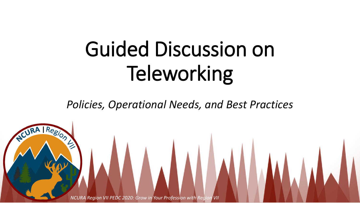# Guided Discussion on Teleworking

*Policies, Operational Needs, and Best Practices*

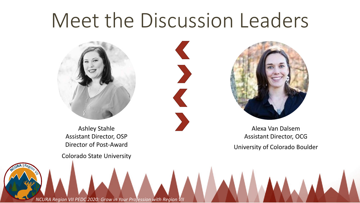# Meet the Discussion Leaders



Ashley Stahle Assistant Director, OSP Director of Post-Award

Colorado State University



Alexa Van Dalsem Assistant Director, OCG University of Colorado Boulder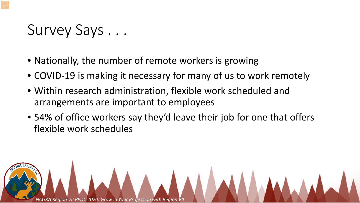## Survey Says . . .

- Nationally, the number of remote workers is growing
- COVID-19 is making it necessary for many of us to work remotely
- Within research administration, flexible work scheduled and arrangements are important to employees
- 54% of office workers say they'd leave their job for one that offers flexible work schedules

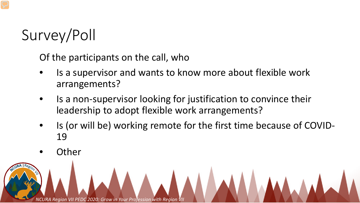# Survey/Poll

Of the participants on the call, who

- Is a supervisor and wants to know more about flexible work arrangements?
- Is a non-supervisor looking for justification to convince their leadership to adopt flexible work arrangements?
- Is (or will be) working remote for the first time because of COVID-19
- **Other**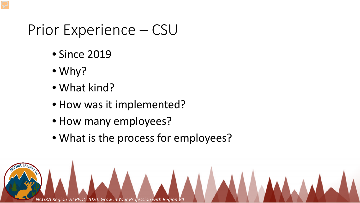### Prior Experience – CSU

- Since 2019
- Why?
- What kind?
- How was it implemented?
- How many employees?
- What is the process for employees?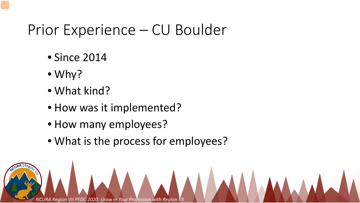### Prior Experience – CU Boulder

- Since 2014
- Why?
- What kind?
- How was it implemented?
- How many employees?
- What is the process for employees?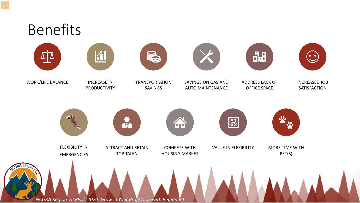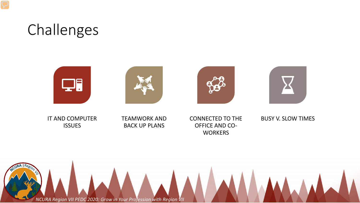## Challenges









IT AND COMPUTER ISSUES

### TEAMWORK AND BACK UP PLANS

### CONNECTED TO THE OFFICE AND CO-**WORKERS**

### BUSY V. SLOW TIMES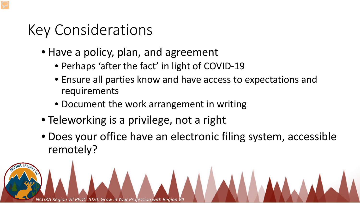## Key Considerations

- Have a policy, plan, and agreement
	- Perhaps 'after the fact' in light of COVID-19
	- Ensure all parties know and have access to expectations and requirements
	- Document the work arrangement in writing
- Teleworking is a privilege, not a right
- Does your office have an electronic filing system, accessible remotely?

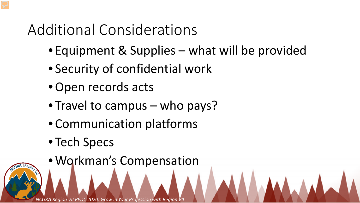# Additional Considerations

- Equipment & Supplies what will be provided
- Security of confidential work
- •Open records acts
- Travel to campus who pays?
- Communication platforms
- Tech Specs
- Workman's Compensation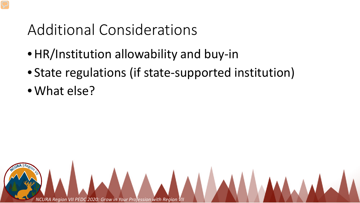## Additional Considerations

- •HR/Institution allowability and buy-in
- State regulations (if state-supported institution)
- What else?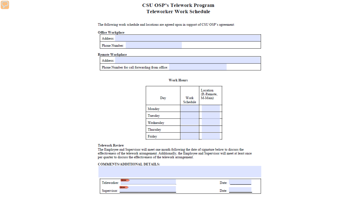### CSU OSP's Telework Program **Teleworker Work Schedule**

The following work schedule and locations are agreed upon in support of CSU OSP's agreement:

#### **Office Workplace**

| Address:      |  |
|---------------|--|
| Phone Number: |  |

#### **Remote Workplace**

| Address:                                      |  |
|-----------------------------------------------|--|
| Phone Number for call forwarding from office: |  |

#### **Work Hours**

| Day       | Work<br>Schedule | Location<br>(R-Remote,<br>M-Main) |
|-----------|------------------|-----------------------------------|
| Monday    |                  |                                   |
| Tuesday   |                  |                                   |
| Wednesday |                  |                                   |
| Thursday  |                  |                                   |
| Friday    |                  |                                   |

#### **Telework Review**

The Employee and Supervisor will meet one month following the date of signature below to discuss the<br>effectiveness of the telework arrangement. Additionally, the Employee and Supervisor will meet at least once<br>per quarter

#### **COMMENTS/ADDITIONAL DETAILS:**

| <b>STATE</b><br>Teleworker:      | Date: |
|----------------------------------|-------|
| <b>STATISTICS</b><br>Supervisor: | Date: |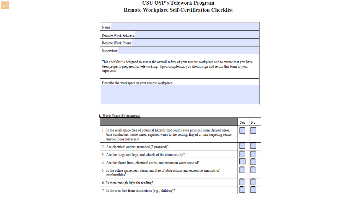### **CSU OSP's Telework Program Remote Workplace Self-Certification Checklist**

| Name:                |                                                                                                                                                                                                                       |
|----------------------|-----------------------------------------------------------------------------------------------------------------------------------------------------------------------------------------------------------------------|
| Remote Work Address: |                                                                                                                                                                                                                       |
| Remote Work Phone:   |                                                                                                                                                                                                                       |
| Supervisor:          |                                                                                                                                                                                                                       |
| supervisor.          | This checklist is designed to assess the overall safety of your remote workplace and to ensure that you have<br>been properly prepared for teleworking. Upon completion, you should sign and return this form to your |
|                      | Describe the workspace in your remote workplace:                                                                                                                                                                      |
|                      |                                                                                                                                                                                                                       |
|                      |                                                                                                                                                                                                                       |
|                      |                                                                                                                                                                                                                       |

#### **I. Work Space Environment**

|                                                                                                                                                                                                                        | Yes | No |
|------------------------------------------------------------------------------------------------------------------------------------------------------------------------------------------------------------------------|-----|----|
| 1. Is the work space free of potential hazards that could cause physical harm (frayed wires,<br>bare conductors, loose wires, exposed wires to the ceiling, frayed or torn carpeting seams,<br>uneven floor surfaces)? |     |    |
| 2. Are electrical outlets grounded (3 pronged)?                                                                                                                                                                        |     |    |
| 3. Are the rungs and legs, and wheels of the chairs sturdy?                                                                                                                                                            |     |    |
| 4. Are the phone lines, electrical cords, and extension wires secured?                                                                                                                                                 |     |    |
| 5. Is the office space neat, clean, and free of obstructions and excessive amounts of<br>combustibles?                                                                                                                 |     |    |
| 6. Is there enough light for reading?                                                                                                                                                                                  |     |    |
| 7. Is the area free from distractions (e.g., children)?                                                                                                                                                                |     |    |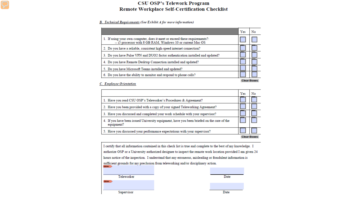### **CSU OSP's Telework Program Remote Workplace Self-Certification Checklist**

#### **B.** Technical Requirements (See Exhibit A for more information)

|                                                                                                                                           | Yes | No                 |
|-------------------------------------------------------------------------------------------------------------------------------------------|-----|--------------------|
| 1. If using your own computer, does it meet or exceed these requirements?:<br>-- i5 processor with 8 GB RAM, Windows 10 or current Mac OS |     |                    |
| 2. Do you have a reliable, consistent high-speed internet connection?                                                                     |     |                    |
| 3. Do you have Pulse VPN and DUO2 factor authentication installed and updated?                                                            |     |                    |
| 4. Do you have Remote Desktop Connection installed and updated?                                                                           |     |                    |
| 5. Do you have Microsoft Teams installed and updated?                                                                                     |     |                    |
| 6. Do you have the ability to monitor and respond to phone calls?                                                                         |     |                    |
|                                                                                                                                           |     | <b>Clear Boxes</b> |

#### C. Employee Orientation

|                                                                                                         | Yes | No                 |
|---------------------------------------------------------------------------------------------------------|-----|--------------------|
| 1. Have you read CSU OSP's Teleworker's Procedures & Agreement?                                         |     |                    |
| 2. Have you been provided with a copy of your signed Teleworking Agreement?                             |     |                    |
| 3. Have you discussed and completed your work schedule with your supervisor?                            |     |                    |
| 4. If you have been issued University equipment, have you been briefed on the care of the<br>equipment? |     |                    |
| 5. Have you discussed your performance expectations with your supervisor?                               |     |                    |
|                                                                                                         |     | <b>Clear Boxes</b> |

I certify that all information contained in this check list is true and complete to the best of my knowledge. I authorize OSP or a University authorized designee to inspect the remote work location provided I am given 24 hours notice of the inspection. I understand that any erroneous, misleading or fraudulent information is sufficient grounds for my preclusion from teleworking and/or disciplinary action. **Minimal** 

|  | eleworker |
|--|-----------|
|  |           |

Date

Supervisor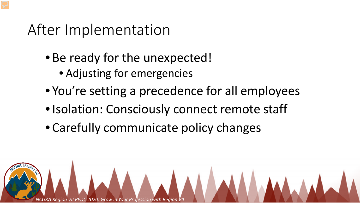## After Implementation

- Be ready for the unexpected!
	- Adjusting for emergencies
- You're setting a precedence for all employees
- Isolation: Consciously connect remote staff
- Carefully communicate policy changes

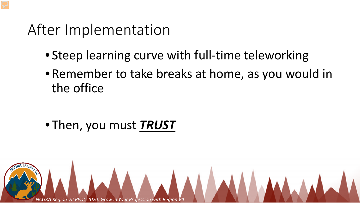### After Implementation

- Steep learning curve with full-time teleworking
- Remember to take breaks at home, as you would in the office

• Then, you must *TRUST*

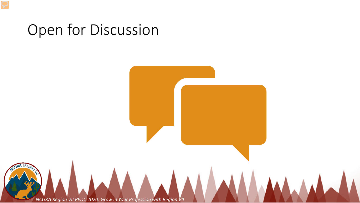### Open for Discussion

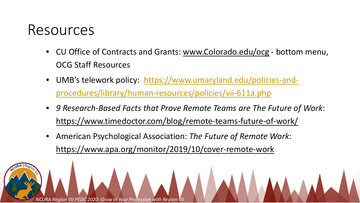### Resources

- CU Office of Contracts and Grants: [www.Colorado.edu/ocg](http://www.colorado.edu/ocg) bottom menu, OCG Staff Resources
- [UMB's telework policy: https://www.umaryland.edu/policies-and](https://www.umaryland.edu/policies-and-procedures/library/human-resources/policies/vii-611a.php)procedures/library/human-resources/policies/vii-611a.php
- *9 Research-Based Facts that Prove Remote Teams are The Future of Work*: <https://www.timedoctor.com/blog/remote-teams-future-of-work/>
- American Psychological Association: *The Future of Remote Work*: <https://www.apa.org/monitor/2019/10/cover-remote-work>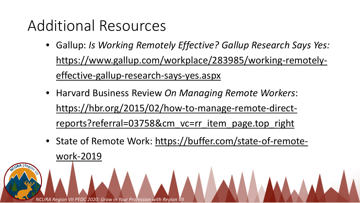# Additional Resources

- Gallup: *Is Working Remotely Effective? Gallup Research Says Yes:*  [https://www.gallup.com/workplace/283985/working-remotely](https://www.gallup.com/workplace/283985/working-remotely-effective-gallup-research-says-yes.aspx)effective-gallup-research-says-yes.aspx
- Harvard Business Review *On Managing Remote Workers*: [https://hbr.org/2015/02/how-to-manage-remote-direct](https://hbr.org/2015/02/how-to-manage-remote-direct-reports?referral=03758&cm_vc=rr_item_page.top_right)reports?referral=03758&cm vc=rr item page.top right
- [State of Remote Work: https://buffer.com/state-of-remote](https://buffer.com/state-of-remote-work-2019)work-2019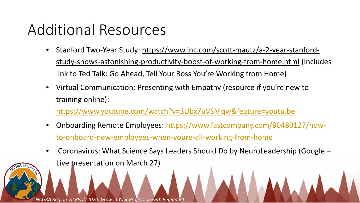## Additional Resources

- [Stanford Two-Year Study: https://www.inc.com/scott-mautz/a-2-year-stanford](https://www.inc.com/scott-mautz/a-2-year-stanford-study-shows-astonishing-productivity-boost-of-working-from-home.html)study-shows-astonishing-productivity-boost-of-working-from-home.html (includes link to Ted Talk: Go Ahead, Tell Your Boss You're Working from Home)
- Virtual Communication: Presenting with Empathy (resource if you're new to training online):

<https://www.youtube.com/watch?v=3Ubx7uVSMqw&feature=youtu.be>

- [Onboarding Remote Employees: https://www.fastcompany.com/90480127/how](https://www.fastcompany.com/90480127/how-to-onboard-new-employees-when-youre-all-working-from-home)to-onboard-new-employees-when-youre-all-working-from-home
- Coronavirus: What Science Says Leaders Should Do by NeuroLeadership (Google Live presentation on March 27)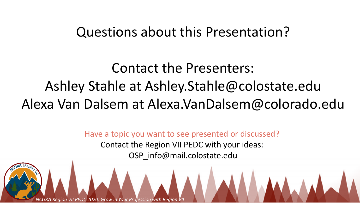### Questions about this Presentation?

# Contact the Presenters: Ashley Stahle at Ashley.Stahle@colostate.edu Alexa Van Dalsem at Alexa.VanDalsem@colorado.edu

Have a topic you want to see presented or discussed? Contact the Region VII PEDC with your ideas: OSP\_info@mail.colostate.edu